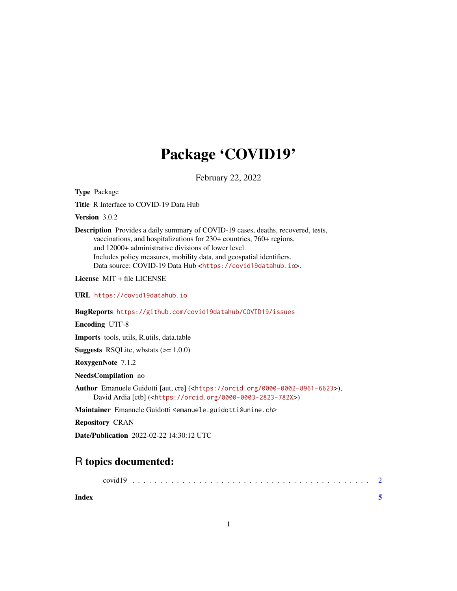## Package 'COVID19'

February 22, 2022

Type Package

Title R Interface to COVID-19 Data Hub

Version 3.0.2

Description Provides a daily summary of COVID-19 cases, deaths, recovered, tests, vaccinations, and hospitalizations for 230+ countries, 760+ regions, and 12000+ administrative divisions of lower level. Includes policy measures, mobility data, and geospatial identifiers. Data source: COVID-19 Data Hub <<https://covid19datahub.io>>.

License MIT + file LICENSE

URL <https://covid19datahub.io>

BugReports <https://github.com/covid19datahub/COVID19/issues>

Encoding UTF-8

Imports tools, utils, R.utils, data.table

**Suggests** RSQLite, wbstats  $(>= 1.0.0)$ 

RoxygenNote 7.1.2

NeedsCompilation no

Author Emanuele Guidotti [aut, cre] (<<https://orcid.org/0000-0002-8961-6623>>), David Ardia [ctb] (<<https://orcid.org/0000-0003-2823-782X>>)

Maintainer Emanuele Guidotti <emanuele.guidotti@unine.ch>

Repository CRAN

Date/Publication 2022-02-22 14:30:12 UTC

### R topics documented:

|       | covid L |  |  |  |  |  |  |  |  |  |  |  |  |  |  |  |  |  |  |  |  |
|-------|---------|--|--|--|--|--|--|--|--|--|--|--|--|--|--|--|--|--|--|--|--|
| Index |         |  |  |  |  |  |  |  |  |  |  |  |  |  |  |  |  |  |  |  |  |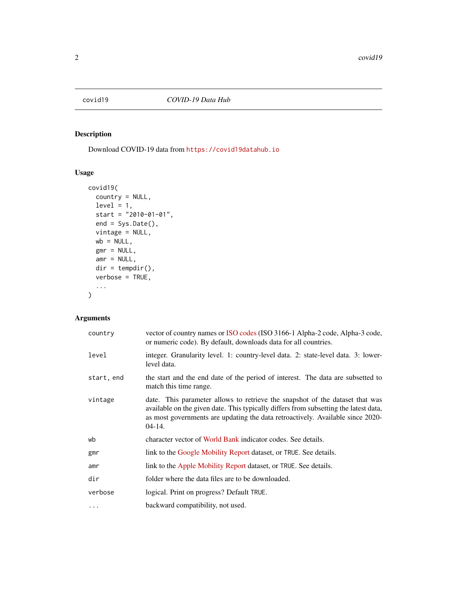<span id="page-1-0"></span>

#### Description

Download COVID-19 data from <https://covid19datahub.io>

#### Usage

```
covid19(
  country = NULL,
  level = 1,start = "2010-01-01",
  end = Sys.Date(),
  vintage = NULL,
  wb = NULL,gmr = NULL,amr = NULL,dir = tempdir(),verbose = TRUE,
  ...
\mathcal{L}
```
#### Arguments

| country    | vector of country names or ISO codes (ISO 3166-1 Alpha-2 code, Alpha-3 code,<br>or numeric code). By default, downloads data for all countries.                                                                                                                    |
|------------|--------------------------------------------------------------------------------------------------------------------------------------------------------------------------------------------------------------------------------------------------------------------|
| level      | integer. Granularity level. 1: country-level data. 2: state-level data. 3: lower-<br>level data.                                                                                                                                                                   |
| start, end | the start and the end date of the period of interest. The data are subsetted to<br>match this time range.                                                                                                                                                          |
| vintage    | date. This parameter allows to retrieve the snapshot of the dataset that was<br>available on the given date. This typically differs from subsetting the latest data,<br>as most governments are updating the data retroactively. Available since 2020-<br>$04-14.$ |
| wb         | character vector of World Bank indicator codes. See details.                                                                                                                                                                                                       |
| gmr        | link to the Google Mobility Report dataset, or TRUE. See details.                                                                                                                                                                                                  |
| amr        | link to the Apple Mobility Report dataset, or TRUE. See details.                                                                                                                                                                                                   |
| dir        | folder where the data files are to be downloaded.                                                                                                                                                                                                                  |
| verbose    | logical. Print on progress? Default TRUE.                                                                                                                                                                                                                          |
| $\cdots$   | backward compatibility, not used.                                                                                                                                                                                                                                  |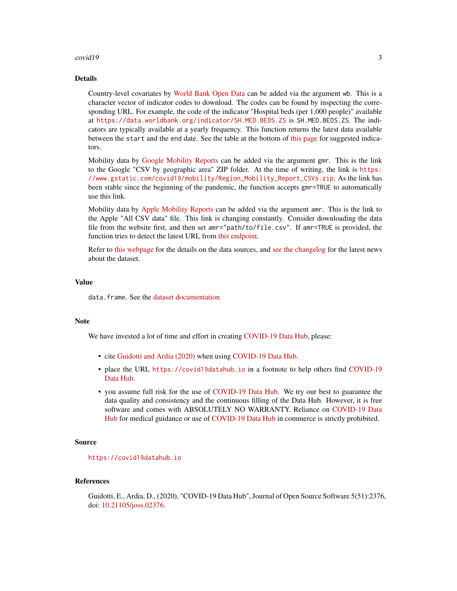#### $\frac{1}{3}$  covid19

#### Details

Country-level covariates by [World Bank Open Data](https://data.worldbank.org) can be added via the argument wb. This is a character vector of indicator codes to download. The codes can be found by inspecting the corresponding URL. For example, the code of the indicator "Hospital beds (per 1,000 people)" available at <https://data.worldbank.org/indicator/SH.MED.BEDS.ZS> is SH.MED.BEDS.ZS. The indicators are typically available at a yearly frequency. This function returns the latest data available between the start and the end date. See the table at the bottom of [this page](https://datatopics.worldbank.org/universal-health-coverage/coronavirus/) for suggested indicators.

Mobility data by [Google Mobility Reports](https://www.google.com/covid19/mobility/) can be added via the argument gmr. This is the link to the Google "CSV by geographic area" ZIP folder. At the time of writing, the link is [https:](https://www.gstatic.com/covid19/mobility/Region_Mobility_Report_CSVs.zip) [//www.gstatic.com/covid19/mobility/Region\\_Mobility\\_Report\\_CSVs.zip](https://www.gstatic.com/covid19/mobility/Region_Mobility_Report_CSVs.zip). As the link has been stable since the beginning of the pandemic, the function accepts gmr=TRUE to automatically use this link.

Mobility data by [Apple Mobility Reports](https://covid19.apple.com/mobility) can be added via the argument amr. This is the link to the Apple "All CSV data" file. This link is changing constantly. Consider downloading the data file from the website first, and then set amr="path/to/file.csv". If amr=TRUE is provided, the function tries to detect the latest URL from [this endpoint.](https://covid19-static.cdn-apple.com/covid19-mobility-data/current/v3/index.json)

Refer to [this webpage](https://covid19datahub.io/reference/index.html) for the details on the data sources, and [see the changelog](https://covid19datahub.io/news/index.html) for the latest news about the dataset.

#### Value

data. frame. See the [dataset documentation](https://covid19datahub.io/articles/docs.html)

#### Note

We have invested a lot of time and effort in creating [COVID-19 Data Hub,](https://covid19datahub.io) please:

- cite [Guidotti and Ardia \(2020\)](https://joss.theoj.org/papers/10.21105/joss.02376) when using [COVID-19 Data Hub.](https://covid19datahub.io)
- place the URL <https://covid19datahub.io> in a footnote to help others find [COVID-19](https://covid19datahub.io) [Data Hub.](https://covid19datahub.io)
- you assume full risk for the use of [COVID-19 Data Hub.](https://covid19datahub.io) We try our best to guarantee the data quality and consistency and the continuous filling of the Data Hub. However, it is free software and comes with ABSOLUTELY NO WARRANTY. Reliance on [COVID-19 Data](https://covid19datahub.io) [Hub](https://covid19datahub.io) for medical guidance or use of [COVID-19 Data Hub](https://covid19datahub.io) in commerce is strictly prohibited.

#### Source

<https://covid19datahub.io>

#### References

Guidotti, E., Ardia, D., (2020), "COVID-19 Data Hub", Journal of Open Source Software 5(51):2376, doi: [10.21105/joss.02376.](https://doi.org/10.21105/joss.02376)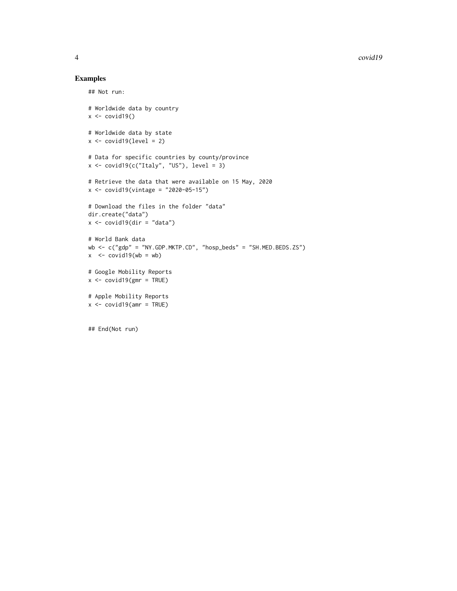#### Examples

```
## Not run:
# Worldwide data by country
x \leftarrow \text{covid19()}# Worldwide data by state
x \leftarrow \text{covid19}(\text{level} = 2)# Data for specific countries by county/province
x \leftarrow \text{covid19}(\text{c("Italy", "US"), level = 3})# Retrieve the data that were available on 15 May, 2020
x <- covid19(vintage = "2020-05-15")
# Download the files in the folder "data"
dir.create("data")
x \leftarrow \text{covid19}(\text{dir} = "data")# World Bank data
wb \leftarrow c("gdp" = "NY.GDP.MKTP.CD", "hosp_beds" = "SH.MED.BEDS.ZS")x \le - covid19(wb = wb)
# Google Mobility Reports
x \le -\text{covid19}(\text{gmr} = \text{TRUE})# Apple Mobility Reports
x \le -\text{covid19}(\text{amr} = \text{TRUE})## End(Not run)
```